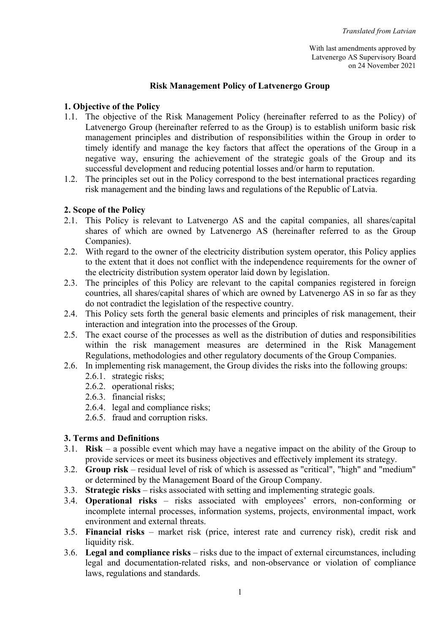With last amendments approved by Latvenergo AS Supervisory Board on 24 November 2021

#### Risk Management Policy of Latvenergo Group

### 1. Objective of the Policy

- 1.1. The objective of the Risk Management Policy (hereinafter referred to as the Policy) of Latvenergo Group (hereinafter referred to as the Group) is to establish uniform basic risk management principles and distribution of responsibilities within the Group in order to timely identify and manage the key factors that affect the operations of the Group in a negative way, ensuring the achievement of the strategic goals of the Group and its successful development and reducing potential losses and/or harm to reputation.
- 1.2. The principles set out in the Policy correspond to the best international practices regarding risk management and the binding laws and regulations of the Republic of Latvia.

### 2. Scope of the Policy

- 2.1. This Policy is relevant to Latvenergo AS and the capital companies, all shares/capital shares of which are owned by Latvenergo AS (hereinafter referred to as the Group Companies).
- 2.2. With regard to the owner of the electricity distribution system operator, this Policy applies to the extent that it does not conflict with the independence requirements for the owner of the electricity distribution system operator laid down by legislation.
- 2.3. The principles of this Policy are relevant to the capital companies registered in foreign countries, all shares/capital shares of which are owned by Latvenergo AS in so far as they do not contradict the legislation of the respective country.
- 2.4. This Policy sets forth the general basic elements and principles of risk management, their interaction and integration into the processes of the Group.
- 2.5. The exact course of the processes as well as the distribution of duties and responsibilities within the risk management measures are determined in the Risk Management Regulations, methodologies and other regulatory documents of the Group Companies.
- 2.6. In implementing risk management, the Group divides the risks into the following groups:
	- 2.6.1. strategic risks;
	- 2.6.2. operational risks;
	- 2.6.3. financial risks;
	- 2.6.4. legal and compliance risks;
	- 2.6.5. fraud and corruption risks.

#### 3. Terms and Definitions

- 3.1. **Risk** a possible event which may have a negative impact on the ability of the Group to provide services or meet its business objectives and effectively implement its strategy.
- 3.2. Group risk residual level of risk of which is assessed as "critical", "high" and "medium" or determined by the Management Board of the Group Company.
- 3.3. Strategic risks risks associated with setting and implementing strategic goals.
- 3.4. Operational risks risks associated with employees' errors, non-conforming or incomplete internal processes, information systems, projects, environmental impact, work environment and external threats.
- 3.5. Financial risks market risk (price, interest rate and currency risk), credit risk and liquidity risk.
- 3.6. Legal and compliance risks risks due to the impact of external circumstances, including legal and documentation-related risks, and non-observance or violation of compliance laws, regulations and standards.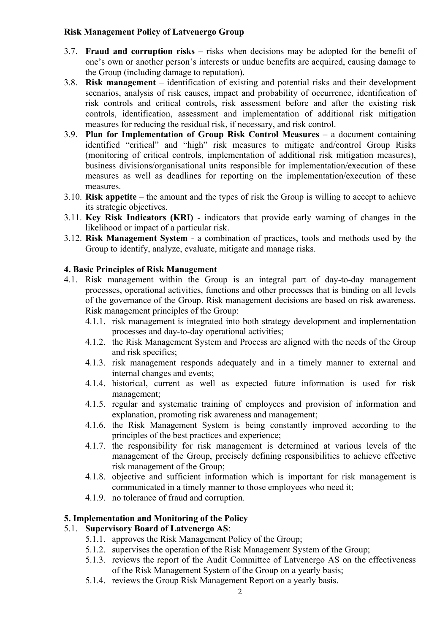### Risk Management Policy of Latvenergo Group

- 3.7. Fraud and corruption risks risks when decisions may be adopted for the benefit of one's own or another person's interests or undue benefits are acquired, causing damage to the Group (including damage to reputation).
- 3.8. Risk management identification of existing and potential risks and their development scenarios, analysis of risk causes, impact and probability of occurrence, identification of risk controls and critical controls, risk assessment before and after the existing risk controls, identification, assessment and implementation of additional risk mitigation measures for reducing the residual risk, if necessary, and risk control.
- 3.9. Plan for Implementation of Group Risk Control Measures a document containing identified "critical" and "high" risk measures to mitigate and/control Group Risks (monitoring of critical controls, implementation of additional risk mitigation measures), business divisions/organisational units responsible for implementation/execution of these measures as well as deadlines for reporting on the implementation/execution of these measures.
- 3.10. Risk appetite the amount and the types of risk the Group is willing to accept to achieve its strategic objectives.
- 3.11. Key Risk Indicators (KRI) indicators that provide early warning of changes in the likelihood or impact of a particular risk.
- 3.12. Risk Management System a combination of practices, tools and methods used by the Group to identify, analyze, evaluate, mitigate and manage risks.

### 4. Basic Principles of Risk Management

- 4.1. Risk management within the Group is an integral part of day-to-day management processes, operational activities, functions and other processes that is binding on all levels of the governance of the Group. Risk management decisions are based on risk awareness. Risk management principles of the Group:
	- 4.1.1. risk management is integrated into both strategy development and implementation processes and day-to-day operational activities;
	- 4.1.2. the Risk Management System and Process are aligned with the needs of the Group and risk specifics;
	- 4.1.3. risk management responds adequately and in a timely manner to external and internal changes and events;
	- 4.1.4. historical, current as well as expected future information is used for risk management;
	- 4.1.5. regular and systematic training of employees and provision of information and explanation, promoting risk awareness and management;
	- 4.1.6. the Risk Management System is being constantly improved according to the principles of the best practices and experience;
	- 4.1.7. the responsibility for risk management is determined at various levels of the management of the Group, precisely defining responsibilities to achieve effective risk management of the Group;
	- 4.1.8. objective and sufficient information which is important for risk management is communicated in a timely manner to those employees who need it;
	- 4.1.9. no tolerance of fraud and corruption.

### 5. Implementation and Monitoring of the Policy

#### 5.1. Supervisory Board of Latvenergo AS:

- 5.1.1. approves the Risk Management Policy of the Group;
- 5.1.2. supervises the operation of the Risk Management System of the Group;
- 5.1.3. reviews the report of the Audit Committee of Latvenergo AS on the effectiveness of the Risk Management System of the Group on a yearly basis;
- 5.1.4. reviews the Group Risk Management Report on a yearly basis.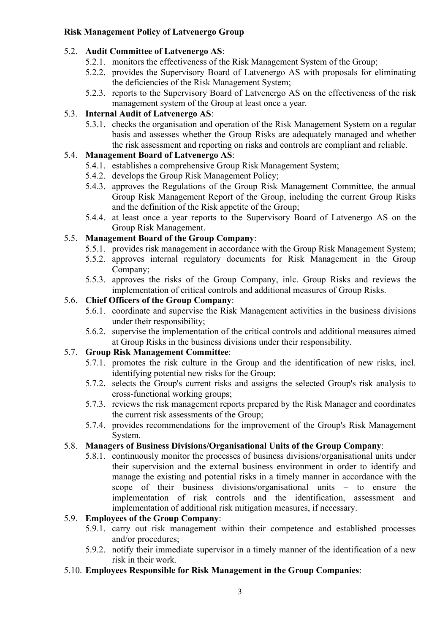# Risk Management Policy of Latvenergo Group

# 5.2. Audit Committee of Latvenergo AS:

- 5.2.1. monitors the effectiveness of the Risk Management System of the Group;
- 5.2.2. provides the Supervisory Board of Latvenergo AS with proposals for eliminating the deficiencies of the Risk Management System;
- 5.2.3. reports to the Supervisory Board of Latvenergo AS on the effectiveness of the risk management system of the Group at least once a year.

# 5.3. Internal Audit of Latvenergo AS:

5.3.1. checks the organisation and operation of the Risk Management System on a regular basis and assesses whether the Group Risks are adequately managed and whether the risk assessment and reporting on risks and controls are compliant and reliable.

# 5.4. Management Board of Latvenergo AS:

- 5.4.1. establishes a comprehensive Group Risk Management System;
- 5.4.2. develops the Group Risk Management Policy;
- 5.4.3. approves the Regulations of the Group Risk Management Committee, the annual Group Risk Management Report of the Group, including the current Group Risks and the definition of the Risk appetite of the Group;
- 5.4.4. at least once a year reports to the Supervisory Board of Latvenergo AS on the Group Risk Management.

# 5.5. Management Board of the Group Company:

- 5.5.1. provides risk management in accordance with the Group Risk Management System;
- 5.5.2. approves internal regulatory documents for Risk Management in the Group Company;
- 5.5.3. approves the risks of the Group Company, inlc. Group Risks and reviews the implementation of critical controls and additional measures of Group Risks.

# 5.6. Chief Officers of the Group Company:

- 5.6.1. coordinate and supervise the Risk Management activities in the business divisions under their responsibility;
- 5.6.2. supervise the implementation of the critical controls and additional measures aimed at Group Risks in the business divisions under their responsibility.

# 5.7. Group Risk Management Committee:

- 5.7.1. promotes the risk culture in the Group and the identification of new risks, incl. identifying potential new risks for the Group;
- 5.7.2. selects the Group's current risks and assigns the selected Group's risk analysis to cross-functional working groups;
- 5.7.3. reviews the risk management reports prepared by the Risk Manager and coordinates the current risk assessments of the Group;
- 5.7.4. provides recommendations for the improvement of the Group's Risk Management System.

# 5.8. Managers of Business Divisions/Organisational Units of the Group Company:

5.8.1. continuously monitor the processes of business divisions/organisational units under their supervision and the external business environment in order to identify and manage the existing and potential risks in a timely manner in accordance with the scope of their business divisions/organisational units – to ensure the implementation of risk controls and the identification, assessment and implementation of additional risk mitigation measures, if necessary.

# 5.9. Employees of the Group Company:

- 5.9.1. carry out risk management within their competence and established processes and/or procedures;
- 5.9.2. notify their immediate supervisor in a timely manner of the identification of a new risk in their work.
- 5.10. Employees Responsible for Risk Management in the Group Companies: